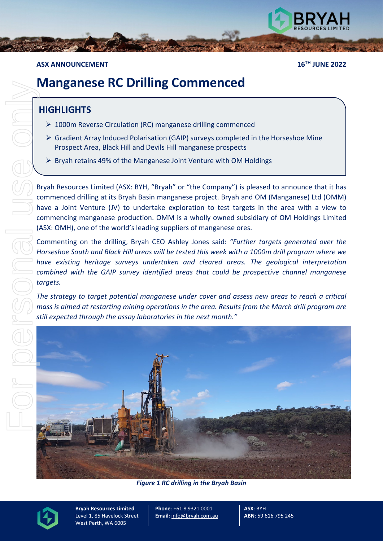

## **ASX ANNOUNCEMENT 16TH JUNE 2022**

# **Manganese RC Drilling Commenced**

# **HIGHLIGHTS**

- ▶ 1000m Reverse Circulation (RC) manganese drilling commenced
- $\triangleright$  Gradient Array Induced Polarisation (GAIP) surveys completed in the Horseshoe Mine Prospect Area, Black Hill and Devils Hill manganese prospects
- $\triangleright$  Bryah retains 49% of the Manganese Joint Venture with OM Holdings

Bryah Resources Limited (ASX: BYH, "Bryah" or "the Company") is pleased to announce that it has commenced drilling at its Bryah Basin manganese project. Bryah and OM (Manganese) Ltd (OMM) have a Joint Venture (JV) to undertake exploration to test targets in the area with a view to commencing manganese production. OMM is a wholly owned subsidiary of OM Holdings Limited (ASX: OMH), one of the world's leading suppliers of manganese ores.

Commenting on the drilling, Bryah CEO Ashley Jones said: *"Further targets generated over the Horseshoe South and Black Hill areas will be tested this week with a 1000m drill program where we have existing heritage surveys undertaken and cleared areas. The geological interpretation combined with the GAIP survey identified areas that could be prospective channel manganese targets.*

*The strategy to target potential manganese under cover and assess new areas to reach a critical mass is aimed at restarting mining operations in the area. Results from the March drill program are still expected through the assay laboratories in the next month."*



*Figure 1 RC drilling in the Bryah Basin*



**Bryah Resources Limited** Level 1, 85 Havelock Street West Perth, WA 6005

**Phone**: +61 8 9321 0001 **Email:** [info@bryah.com.au](mailto:info@bryah.com.au) **ASX**: BYH **ABN**: 59 616 795 245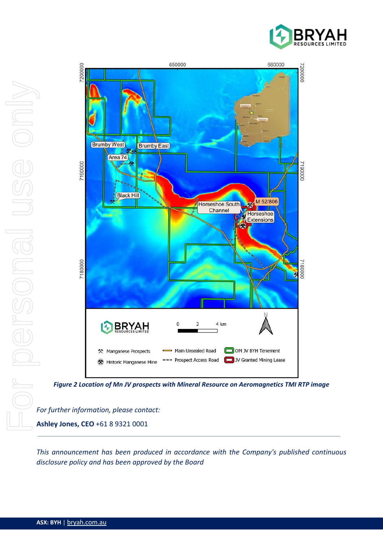



*Figure 2 Location of Mn JV prospects with Mineral Resource on Aeromagnetics TMI RTP image*

*For further information, please contact:*  **Ashley Jones, CEO** +61 8 9321 0001

*This announcement has been produced in accordance with the Company's published continuous*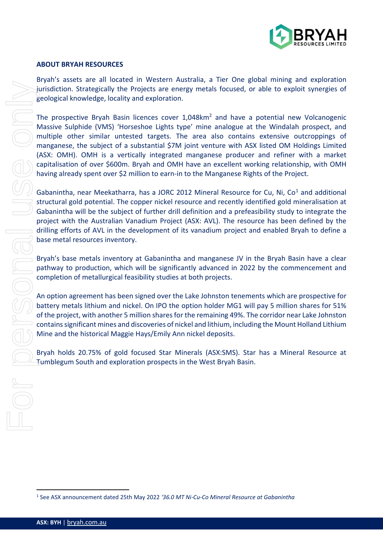

#### **ABOUT BRYAH RESOURCES**

Bryah's assets are all located in Western Australia, a Tier One global mining and exploration jurisdiction. Strategically the Projects are energy metals focused, or able to exploit synergies of geological knowledge, locality and exploration.

The prospective Bryah Basin licences cover 1,048km<sup>2</sup> and have a potential new Volcanogenic Massive Sulphide (VMS) 'Horseshoe Lights type' mine analogue at the Windalah prospect, and multiple other similar untested targets. The area also contains extensive outcroppings of manganese, the subject of a substantial \$7M joint venture with ASX listed OM Holdings Limited (ASX: OMH). OMH is a vertically integrated manganese producer and refiner with a market capitalisation of over \$600m. Bryah and OMH have an excellent working relationship, with OMH having already spent over \$2 million to earn-in to the Manganese Rights of the Project. 1 Invisible to the Project sine energy metals focused, or able to expect<br>the production. Strength May 2022 196.00 MM Niver and the production of the proportion By Niver Ham Incore source 1.048km<sup>3</sup> and have a potential not

Gabanintha, near Meekatharra, has a JORC 20[1](#page-2-0)2 Mineral Resource for Cu, Ni, Co<sup>1</sup> and additional structural gold potential. The copper nickel resource and recently identified gold mineralisation at Gabanintha will be the subject of further drill definition and a prefeasibility study to integrate the project with the Australian Vanadium Project (ASX: AVL). The resource has been defined by the drilling efforts of AVL in the development of its vanadium project and enabled Bryah to define a base metal resources inventory.

Bryah's base metals inventory at Gabanintha and manganese JV in the Bryah Basin have a clear pathway to production, which will be significantly advanced in 2022 by the commencement and completion of metallurgical feasibility studies at both projects.

An option agreement has been signed over the Lake Johnston tenements which are prospective for battery metals lithium and nickel. On IPO the option holder MG1 will pay 5 million shares for 51% of the project, with another 5 million shares for the remaining 49%. The corridor near Lake Johnston contains significant mines and discoveries of nickel and lithium, including the Mount Holland Lithium Mine and the historical Maggie Hays/Emily Ann nickel deposits.

Bryah holds 20.75% of gold focused Star Minerals (ASX:SMS). Star has a Mineral Resource at Tumblegum South and exploration prospects in the West Bryah Basin.

<span id="page-2-0"></span>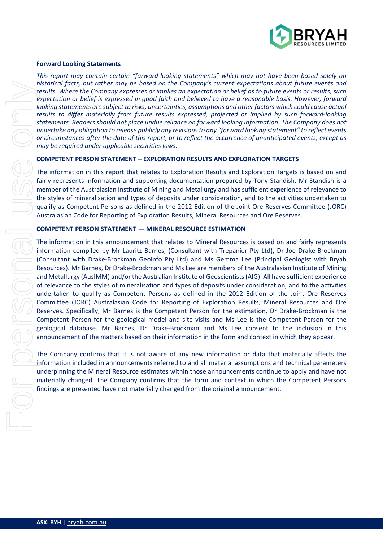

#### **Forward Looking Statements**

*This report may contain certain "forward-looking statements" which may not have been based solely on historical facts, but rather may be based on the Company's current expectations about future events and results. Where the Company expresses or implies an expectation or belief as to future events or results, such expectation or belief is expressed in good faith and believed to have a reasonable basis. However, forward looking statements are subject to risks, uncertainties, assumptions and other factors which could cause actual results to differ materially from future results expressed, projected or implied by such forward-looking statements. Readers should not place undue reliance on forward looking information. The Company does not undertake any obligation to release publicly any revisions to any "forward looking statement" to reflect events or circumstances after the date of this report, or to reflect the occurrence of unanticipated events, except as may be required under applicable securities laws.*

#### **COMPETENT PERSON STATEMENT – EXPLORATION RESULTS AND EXPLORATION TARGETS**

The information in this report that relates to Exploration Results and Exploration Targets is based on and fairly represents information and supporting documentation prepared by Tony Standish. Mr Standish is a member of the Australasian Institute of Mining and Metallurgy and has sufficient experience of relevance to the styles of mineralisation and types of deposits under consideration, and to the activities undertaken to qualify as Competent Persons as defined in the 2012 Edition of the Joint Ore Reserves Committee (JORC) Australasian Code for Reporting of Exploration Results, Mineral Resources and Ore Reserves.

#### **COMPETENT PERSON STATEMENT — MINERAL RESOURCE ESTIMATION**

The information in this announcement that relates to Mineral Resources is based on and fairly represents information compiled by Mr Lauritz Barnes, (Consultant with Trepanier Pty Ltd), Dr Joe Drake-Brockman (Consultant with Drake-Brockman Geoinfo Pty Ltd) and Ms Gemma Lee (Principal Geologist with Bryah Resources). Mr Barnes, Dr Drake-Brockman and Ms Lee are members of the Australasian Institute of Mining and Metallurgy (AusIMM) and/or the Australian Institute of Geoscientists (AIG). All have sufficient experience of relevance to the styles of mineralisation and types of deposits under consideration, and to the activities undertaken to qualify as Competent Persons as defined in the 2012 Edition of the Joint Ore Reserves Committee (JORC) Australasian Code for Reporting of Exploration Results, Mineral Resources and Ore Reserves. Specifically, Mr Barnes is the Competent Person for the estimation, Dr Drake-Brockman is the Competent Person for the geological model and site visits and Ms Lee is the Competent Person for the geological database. Mr Barnes, Dr Drake-Brockman and Ms Lee consent to the inclusion in this announcement of the matters based on their information in the form and context in which they appear. historical rates. The form of the company scenarion in the company scenarion of the section of the section of the section of the section of the section of the section of the section of the section of the most of the most o

The Company confirms that it is not aware of any new information or data that materially affects the information included in announcements referred to and all material assumptions and technical parameters underpinning the Mineral Resource estimates within those announcements continue to apply and have not materially changed. The Company confirms that the form and context in which the Competent Persons